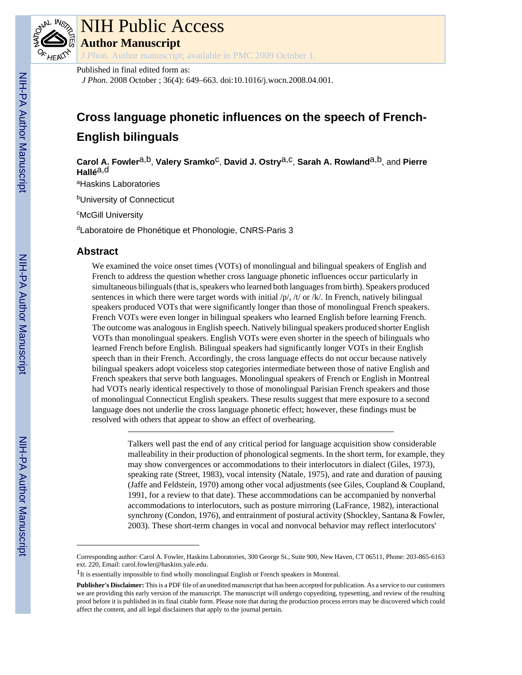

# NIH Public Access

**Author Manuscript**

*J Phon*. Author manuscript; available in PMC 2009 October 1.

Published in final edited form as:

*J Phon*. 2008 October ; 36(4): 649–663. doi:10.1016/j.wocn.2008.04.001.

# **Cross language phonetic influences on the speech of French-English bilinguals**

**Carol A. Fowler**a,b, **Valery Sramko**c, **David J. Ostry**a,c, **Sarah A. Rowland**a,b, and **Pierre Hallé**a,d

<sup>a</sup>Haskins Laboratories

**bUniversity of Connecticut** 

<sup>c</sup>McGill University

dLaboratoire de Phonétique et Phonologie, CNRS-Paris 3

# **Abstract**

We examined the voice onset times (VOTs) of monolingual and bilingual speakers of English and French to address the question whether cross language phonetic influences occur particularly in simultaneous bilinguals (that is, speakers who learned both languages from birth). Speakers produced sentences in which there were target words with initial  $/p/$ ,  $/t/$  or  $/k/$ . In French, natively bilingual speakers produced VOTs that were significantly longer than those of monolingual French speakers. French VOTs were even longer in bilingual speakers who learned English before learning French. The outcome was analogous in English speech. Natively bilingual speakers produced shorter English VOTs than monolingual speakers. English VOTs were even shorter in the speech of bilinguals who learned French before English. Bilingual speakers had significantly longer VOTs in their English speech than in their French. Accordingly, the cross language effects do not occur because natively bilingual speakers adopt voiceless stop categories intermediate between those of native English and French speakers that serve both languages. Monolingual speakers of French or English in Montreal had VOTs nearly identical respectively to those of monolingual Parisian French speakers and those of monolingual Connecticut English speakers. These results suggest that mere exposure to a second language does not underlie the cross language phonetic effect; however, these findings must be resolved with others that appear to show an effect of overhearing.

> Talkers well past the end of any critical period for language acquisition show considerable malleability in their production of phonological segments. In the short term, for example, they may show convergences or accommodations to their interlocutors in dialect (Giles, 1973), speaking rate (Street, 1983), vocal intensity (Natale, 1975), and rate and duration of pausing (Jaffe and Feldstein, 1970) among other vocal adjustments (see Giles, Coupland & Coupland, 1991, for a review to that date). These accommodations can be accompanied by nonverbal accommodations to interlocutors, such as posture mirroring (LaFrance, 1982), interactional synchrony (Condon, 1976), and entrainment of postural activity (Shockley, Santana & Fowler, 2003). These short-term changes in vocal and nonvocal behavior may reflect interlocutors'

Corresponding author: Carol A. Fowler, Haskins Laboratories, 300 George St., Suite 900, New Haven, CT 06511, Phone: 203-865-6163 ext. 220, Email: carol.fowler@haskins.yale.edu.

<sup>&</sup>lt;sup>1</sup>It is essentially impossible to find wholly monolingual English or French speakers in Montreal.

**Publisher's Disclaimer:** This is a PDF file of an unedited manuscript that has been accepted for publication. As a service to our customers we are providing this early version of the manuscript. The manuscript will undergo copyediting, typesetting, and review of the resulting proof before it is published in its final citable form. Please note that during the production process errors may be discovered which could affect the content, and all legal disclaimers that apply to the journal pertain.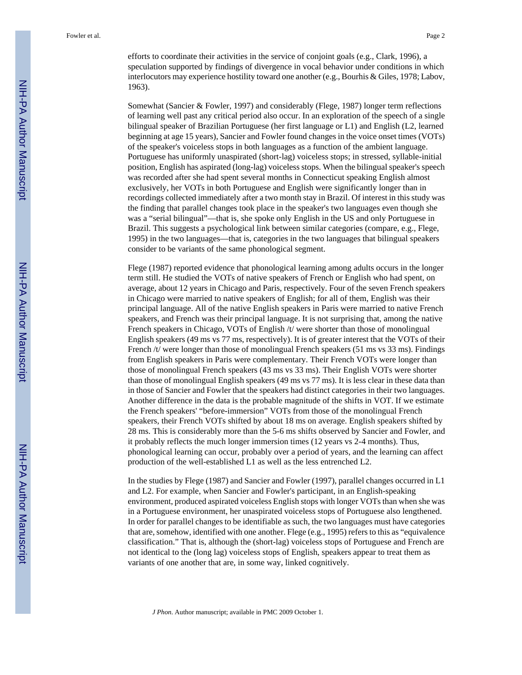efforts to coordinate their activities in the service of conjoint goals (e.g., Clark, 1996), a speculation supported by findings of divergence in vocal behavior under conditions in which interlocutors may experience hostility toward one another (e.g., Bourhis & Giles, 1978; Labov, 1963).

Somewhat (Sancier & Fowler, 1997) and considerably (Flege, 1987) longer term reflections of learning well past any critical period also occur. In an exploration of the speech of a single bilingual speaker of Brazilian Portuguese (her first language or L1) and English (L2, learned beginning at age 15 years), Sancier and Fowler found changes in the voice onset times (VOTs) of the speaker's voiceless stops in both languages as a function of the ambient language. Portuguese has uniformly unaspirated (short-lag) voiceless stops; in stressed, syllable-initial position, English has aspirated (long-lag) voiceless stops. When the bilingual speaker's speech was recorded after she had spent several months in Connecticut speaking English almost exclusively, her VOTs in both Portuguese and English were significantly longer than in recordings collected immediately after a two month stay in Brazil. Of interest in this study was the finding that parallel changes took place in the speaker's two languages even though she was a "serial bilingual"—that is, she spoke only English in the US and only Portuguese in Brazil. This suggests a psychological link between similar categories (compare, e.g., Flege, 1995) in the two languages—that is, categories in the two languages that bilingual speakers consider to be variants of the same phonological segment.

Flege (1987) reported evidence that phonological learning among adults occurs in the longer term still. He studied the VOTs of native speakers of French or English who had spent, on average, about 12 years in Chicago and Paris, respectively. Four of the seven French speakers in Chicago were married to native speakers of English; for all of them, English was their principal language. All of the native English speakers in Paris were married to native French speakers, and French was their principal language. It is not surprising that, among the native French speakers in Chicago, VOTs of English /t/ were shorter than those of monolingual English speakers (49 ms vs 77 ms, respectively). It is of greater interest that the VOTs of their French /t/ were longer than those of monolingual French speakers (51 ms vs 33 ms). Findings from English speakers in Paris were complementary. Their French VOTs were longer than those of monolingual French speakers (43 ms vs 33 ms). Their English VOTs were shorter than those of monolingual English speakers (49 ms vs 77 ms). It is less clear in these data than in those of Sancier and Fowler that the speakers had distinct categories in their two languages. Another difference in the data is the probable magnitude of the shifts in VOT. If we estimate the French speakers' "before-immersion" VOTs from those of the monolingual French speakers, their French VOTs shifted by about 18 ms on average. English speakers shifted by 28 ms. This is considerably more than the 5-6 ms shifts observed by Sancier and Fowler, and it probably reflects the much longer immersion times (12 years vs 2-4 months). Thus, phonological learning can occur, probably over a period of years, and the learning can affect production of the well-established L1 as well as the less entrenched L2.

In the studies by Flege (1987) and Sancier and Fowler (1997), parallel changes occurred in L1 and L2. For example, when Sancier and Fowler's participant, in an English-speaking environment, produced aspirated voiceless English stops with longer VOTs than when she was in a Portuguese environment, her unaspirated voiceless stops of Portuguese also lengthened. In order for parallel changes to be identifiable as such, the two languages must have categories that are, somehow, identified with one another. Flege (e.g., 1995) refers to this as "equivalence classification." That is, although the (short-lag) voiceless stops of Portuguese and French are not identical to the (long lag) voiceless stops of English, speakers appear to treat them as variants of one another that are, in some way, linked cognitively.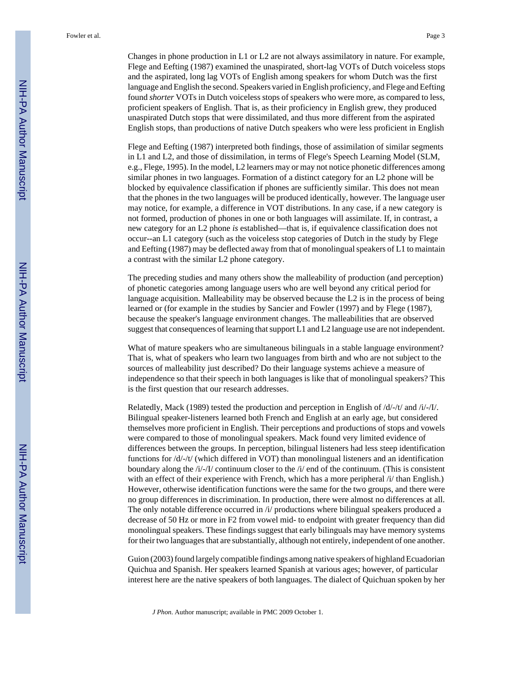language and English the second. Speakers varied in English proficiency, and Flege and Eefting found *shorter* VOTs in Dutch voiceless stops of speakers who were more, as compared to less, proficient speakers of English. That is, as their proficiency in English grew, they produced unaspirated Dutch stops that were dissimilated, and thus more different from the aspirated English stops, than productions of native Dutch speakers who were less proficient in English

Flege and Eefting (1987) interpreted both findings, those of assimilation of similar segments in L1 and L2, and those of dissimilation, in terms of Flege's Speech Learning Model (SLM, e.g., Flege, 1995). In the model, L2 learners may or may not notice phonetic differences among similar phones in two languages. Formation of a distinct category for an L2 phone will be blocked by equivalence classification if phones are sufficiently similar. This does not mean that the phones in the two languages will be produced identically, however. The language user may notice, for example, a difference in VOT distributions. In any case, if a new category is not formed, production of phones in one or both languages will assimilate. If, in contrast, a new category for an L2 phone *is* established—that is, if equivalence classification does not occur--an L1 category (such as the voiceless stop categories of Dutch in the study by Flege and Eefting (1987) may be deflected away from that of monolingual speakers of L1 to maintain a contrast with the similar L2 phone category.

The preceding studies and many others show the malleability of production (and perception) of phonetic categories among language users who are well beyond any critical period for language acquisition. Malleability may be observed because the L2 is in the process of being learned or (for example in the studies by Sancier and Fowler (1997) and by Flege (1987), because the speaker's language environment changes. The malleabilities that are observed suggest that consequences of learning that support L1 and L2 language use are not independent.

What of mature speakers who are simultaneous bilinguals in a stable language environment? That is, what of speakers who learn two languages from birth and who are not subject to the sources of malleability just described? Do their language systems achieve a measure of independence so that their speech in both languages is like that of monolingual speakers? This is the first question that our research addresses.

Relatedly, Mack (1989) tested the production and perception in English of /d/-/t/ and /i/-/I/. Bilingual speaker-listeners learned both French and English at an early age, but considered themselves more proficient in English. Their perceptions and productions of stops and vowels were compared to those of monolingual speakers. Mack found very limited evidence of differences between the groups. In perception, bilingual listeners had less steep identification functions for  $\frac{d}{-t}$  (which differed in VOT) than monolingual listeners and an identification boundary along the /i/-/I/ continuum closer to the /i/ end of the continuum. (This is consistent with an effect of their experience with French, which has a more peripheral  $/i$  than English.) However, otherwise identification functions were the same for the two groups, and there were no group differences in discrimination. In production, there were almost no differences at all. The only notable difference occurred in /i/ productions where bilingual speakers produced a decrease of 50 Hz or more in F2 from vowel mid- to endpoint with greater frequency than did monolingual speakers. These findings suggest that early bilinguals may have memory systems for their two languages that are substantially, although not entirely, independent of one another.

Guion (2003) found largely compatible findings among native speakers of highland Ecuadorian Quichua and Spanish. Her speakers learned Spanish at various ages; however, of particular interest here are the native speakers of both languages. The dialect of Quichuan spoken by her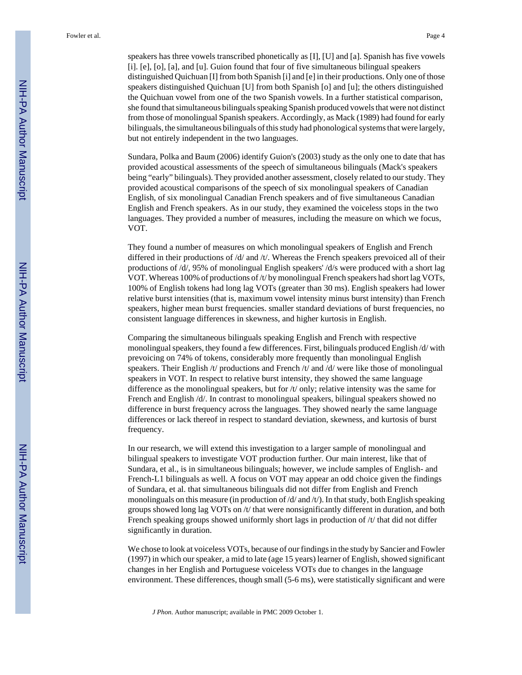speakers has three vowels transcribed phonetically as [I], [U] and [a]. Spanish has five vowels [i]. [e], [o], [a], and [u]. Guion found that four of five simultaneous bilingual speakers distinguished Quichuan [I] from both Spanish [i] and [e] in their productions. Only one of those speakers distinguished Quichuan [U] from both Spanish [o] and [u]; the others distinguished the Quichuan vowel from one of the two Spanish vowels. In a further statistical comparison, she found that simultaneous bilinguals speaking Spanish produced vowels that were not distinct from those of monolingual Spanish speakers. Accordingly, as Mack (1989) had found for early bilinguals, the simultaneous bilinguals of this study had phonological systems that were largely, but not entirely independent in the two languages.

Sundara, Polka and Baum (2006) identify Guion's (2003) study as the only one to date that has provided acoustical assessments of the speech of simultaneous bilinguals (Mack's speakers being "early" bilinguals). They provided another assessment, closely related to our study. They provided acoustical comparisons of the speech of six monolingual speakers of Canadian English, of six monolingual Canadian French speakers and of five simultaneous Canadian English and French speakers. As in our study, they examined the voiceless stops in the two languages. They provided a number of measures, including the measure on which we focus, VOT.

They found a number of measures on which monolingual speakers of English and French differed in their productions of /d/ and /t/. Whereas the French speakers prevoiced all of their productions of /d/, 95% of monolingual English speakers' /d/s were produced with a short lag VOT. Whereas 100% of productions of /t/ by monolingual French speakers had short lag VOTs, 100% of English tokens had long lag VOTs (greater than 30 ms). English speakers had lower relative burst intensities (that is, maximum vowel intensity minus burst intensity) than French speakers, higher mean burst frequencies. smaller standard deviations of burst frequencies, no consistent language differences in skewness, and higher kurtosis in English.

Comparing the simultaneous bilinguals speaking English and French with respective monolingual speakers, they found a few differences. First, bilinguals produced English /d/ with prevoicing on 74% of tokens, considerably more frequently than monolingual English speakers. Their English /t/ productions and French /t/ and /d/ were like those of monolingual speakers in VOT. In respect to relative burst intensity, they showed the same language difference as the monolingual speakers, but for /t/ only; relative intensity was the same for French and English /d/. In contrast to monolingual speakers, bilingual speakers showed no difference in burst frequency across the languages. They showed nearly the same language differences or lack thereof in respect to standard deviation, skewness, and kurtosis of burst frequency.

In our research, we will extend this investigation to a larger sample of monolingual and bilingual speakers to investigate VOT production further. Our main interest, like that of Sundara, et al., is in simultaneous bilinguals; however, we include samples of English- and French-L1 bilinguals as well. A focus on VOT may appear an odd choice given the findings of Sundara, et al. that simultaneous bilinguals did not differ from English and French monolinguals on this measure (in production of  $\frac{d}{dx}$  and  $\frac{d}{dx}$ ). In that study, both English speaking groups showed long lag VOTs on /t/ that were nonsignificantly different in duration, and both French speaking groups showed uniformly short lags in production of /t/ that did not differ significantly in duration.

We chose to look at voiceless VOTs, because of our findings in the study by Sancier and Fowler (1997) in which our speaker, a mid to late (age 15 years) learner of English, showed significant changes in her English and Portuguese voiceless VOTs due to changes in the language environment. These differences, though small (5-6 ms), were statistically significant and were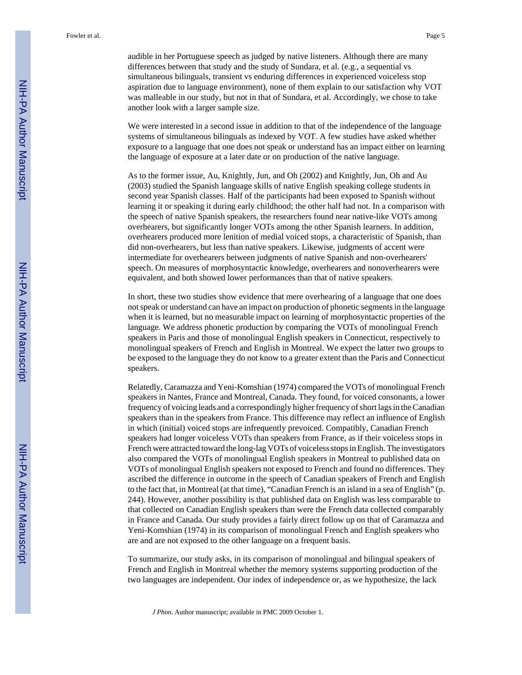We were interested in a second issue in addition to that of the independence of the language systems of simultaneous bilinguals as indexed by VOT. A few studies have asked whether exposure to a language that one does not speak or understand has an impact either on learning the language of exposure at a later date or on production of the native language.

As to the former issue, Au, Knightly, Jun, and Oh (2002) and Knightly, Jun, Oh and Au (2003) studied the Spanish language skills of native English speaking college students in second year Spanish classes. Half of the participants had been exposed to Spanish without learning it or speaking it during early childhood; the other half had not. In a comparison with the speech of native Spanish speakers, the researchers found near native-like VOTs among overhearers, but significantly longer VOTs among the other Spanish learners. In addition, overhearers produced more lenition of medial voiced stops, a characteristic of Spanish, than did non-overhearers, but less than native speakers. Likewise, judgments of accent were intermediate for overhearers between judgments of native Spanish and non-overhearers' speech. On measures of morphosyntactic knowledge, overhearers and nonoverhearers were equivalent, and both showed lower performances than that of native speakers.

In short, these two studies show evidence that mere overhearing of a language that one does not speak or understand can have an impact on production of phonetic segments in the language when it is learned, but no measurable impact on learning of morphosyntactic properties of the language. We address phonetic production by comparing the VOTs of monolingual French speakers in Paris and those of monolingual English speakers in Connecticut, respectively to monolingual speakers of French and English in Montreal. We expect the latter two groups to be exposed to the language they do not know to a greater extent than the Paris and Connecticut speakers.

Relatedly, Caramazza and Yeni-Komshian (1974) compared the VOTs of monolingual French speakers in Nantes, France and Montreal, Canada. They found, for voiced consonants, a lower frequency of voicing leads and a correspondingly higher frequency of short lags in the Canadian speakers than in the speakers from France. This difference may reflect an influence of English in which (initial) voiced stops are infrequently prevoiced. Compatibly, Canadian French speakers had longer voiceless VOTs than speakers from France, as if their voiceless stops in French were attracted toward the long-lag VOTs of voiceless stops in English. The investigators also compared the VOTs of monolingual English speakers in Montreal to published data on VOTs of monolingual English speakers not exposed to French and found no differences. They ascribed the difference in outcome in the speech of Canadian speakers of French and English to the fact that, in Montreal (at that time), "Canadian French is an island in a sea of English" (p. 244). However, another possibility is that published data on English was less comparable to that collected on Canadian English speakers than were the French data collected comparably in France and Canada. Our study provides a fairly direct follow up on that of Caramazza and Yeni-Komshian (1974) in its comparison of monolingual French and English speakers who are and are not exposed to the other language on a frequent basis.

To summarize, our study asks, in its comparison of monolingual and bilingual speakers of French and English in Montreal whether the memory systems supporting production of the two languages are independent. Our index of independence or, as we hypothesize, the lack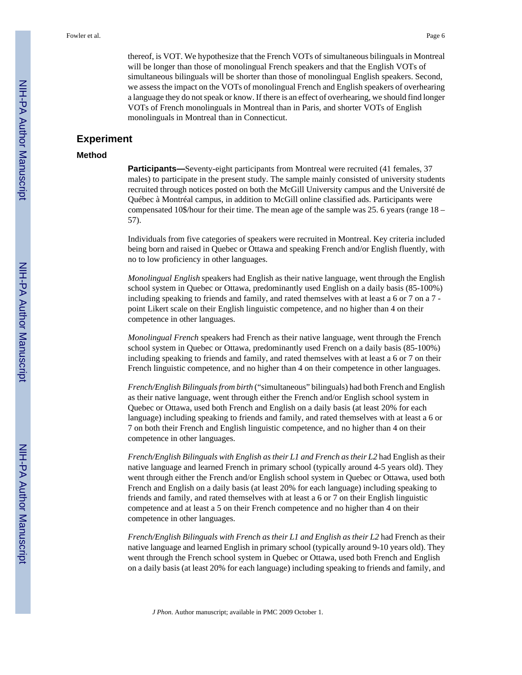thereof, is VOT. We hypothesize that the French VOTs of simultaneous bilinguals in Montreal will be longer than those of monolingual French speakers and that the English VOTs of simultaneous bilinguals will be shorter than those of monolingual English speakers. Second, we assess the impact on the VOTs of monolingual French and English speakers of overhearing a language they do not speak or know. If there is an effect of overhearing, we should find longer VOTs of French monolinguals in Montreal than in Paris, and shorter VOTs of English monolinguals in Montreal than in Connecticut.

#### **Experiment**

#### **Method**

**Participants—**Seventy-eight participants from Montreal were recruited (41 females, 37 males) to participate in the present study. The sample mainly consisted of university students recruited through notices posted on both the McGill University campus and the Université de Québec à Montréal campus, in addition to McGill online classified ads. Participants were compensated 10\$/hour for their time. The mean age of the sample was 25. 6 years (range 18 – 57).

Individuals from five categories of speakers were recruited in Montreal. Key criteria included being born and raised in Quebec or Ottawa and speaking French and/or English fluently, with no to low proficiency in other languages.

*Monolingual English* speakers had English as their native language, went through the English school system in Quebec or Ottawa, predominantly used English on a daily basis (85-100%) including speaking to friends and family, and rated themselves with at least a 6 or 7 on a 7 point Likert scale on their English linguistic competence, and no higher than 4 on their competence in other languages.

*Monolingual French* speakers had French as their native language, went through the French school system in Quebec or Ottawa, predominantly used French on a daily basis (85-100%) including speaking to friends and family, and rated themselves with at least a 6 or 7 on their French linguistic competence, and no higher than 4 on their competence in other languages.

*French/English Bilinguals from birth* ("simultaneous" bilinguals) had both French and English as their native language, went through either the French and/or English school system in Quebec or Ottawa, used both French and English on a daily basis (at least 20% for each language) including speaking to friends and family, and rated themselves with at least a 6 or 7 on both their French and English linguistic competence, and no higher than 4 on their competence in other languages.

*French/English Bilinguals with English as their L1 and French as their L2* had English as their native language and learned French in primary school (typically around 4-5 years old). They went through either the French and/or English school system in Quebec or Ottawa, used both French and English on a daily basis (at least 20% for each language) including speaking to friends and family, and rated themselves with at least a 6 or 7 on their English linguistic competence and at least a 5 on their French competence and no higher than 4 on their competence in other languages.

*French/English Bilinguals with French as their L1 and English as their L2* had French as their native language and learned English in primary school (typically around 9-10 years old). They went through the French school system in Quebec or Ottawa, used both French and English on a daily basis (at least 20% for each language) including speaking to friends and family, and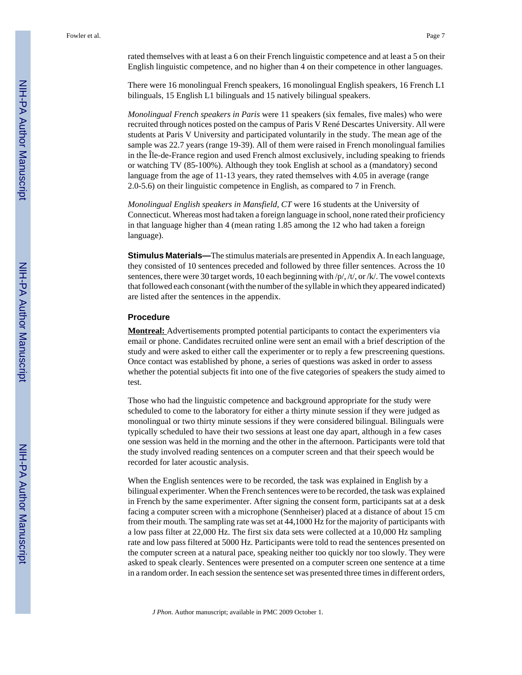rated themselves with at least a 6 on their French linguistic competence and at least a 5 on their English linguistic competence, and no higher than 4 on their competence in other languages.

There were 16 monolingual French speakers, 16 monolingual English speakers, 16 French L1 bilinguals, 15 English L1 bilinguals and 15 natively bilingual speakers.

*Monolingual French speakers in Paris* were 11 speakers (six females, five males) who were recruited through notices posted on the campus of Paris V René Descartes University. All were students at Paris V University and participated voluntarily in the study. The mean age of the sample was 22.7 years (range 19-39). All of them were raised in French monolingual families in the Île-de-France region and used French almost exclusively, including speaking to friends or watching TV (85-100%). Although they took English at school as a (mandatory) second language from the age of 11-13 years, they rated themselves with 4.05 in average (range 2.0-5.6) on their linguistic competence in English, as compared to 7 in French.

*Monolingual English speakers in Mansfield, CT* were 16 students at the University of Connecticut. Whereas most had taken a foreign language in school, none rated their proficiency in that language higher than 4 (mean rating 1.85 among the 12 who had taken a foreign language).

**Stimulus Materials—**The stimulus materials are presented in Appendix A. In each language, they consisted of 10 sentences preceded and followed by three filler sentences. Across the 10 sentences, there were 30 target words, 10 each beginning with /p/, /t/, or /k/. The vowel contexts that followed each consonant (with the number of the syllable in which they appeared indicated) are listed after the sentences in the appendix.

#### **Procedure**

**Montreal:** Advertisements prompted potential participants to contact the experimenters via email or phone. Candidates recruited online were sent an email with a brief description of the study and were asked to either call the experimenter or to reply a few prescreening questions. Once contact was established by phone, a series of questions was asked in order to assess whether the potential subjects fit into one of the five categories of speakers the study aimed to test.

Those who had the linguistic competence and background appropriate for the study were scheduled to come to the laboratory for either a thirty minute session if they were judged as monolingual or two thirty minute sessions if they were considered bilingual. Bilinguals were typically scheduled to have their two sessions at least one day apart, although in a few cases one session was held in the morning and the other in the afternoon. Participants were told that the study involved reading sentences on a computer screen and that their speech would be recorded for later acoustic analysis.

When the English sentences were to be recorded, the task was explained in English by a bilingual experimenter. When the French sentences were to be recorded, the task was explained in French by the same experimenter. After signing the consent form, participants sat at a desk facing a computer screen with a microphone (Sennheiser) placed at a distance of about 15 cm from their mouth. The sampling rate was set at 44,1000 Hz for the majority of participants with a low pass filter at 22,000 Hz. The first six data sets were collected at a 10,000 Hz sampling rate and low pass filtered at 5000 Hz. Participants were told to read the sentences presented on the computer screen at a natural pace, speaking neither too quickly nor too slowly. They were asked to speak clearly. Sentences were presented on a computer screen one sentence at a time in a random order. In each session the sentence set was presented three times in different orders,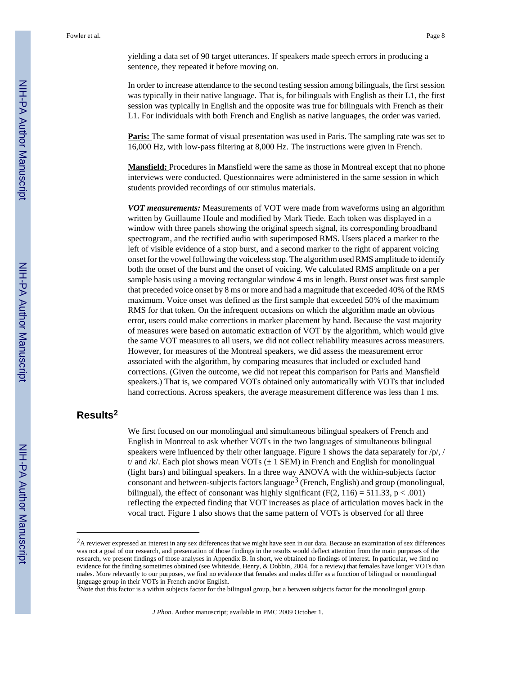yielding a data set of 90 target utterances. If speakers made speech errors in producing a sentence, they repeated it before moving on.

In order to increase attendance to the second testing session among bilinguals, the first session was typically in their native language. That is, for bilinguals with English as their L1, the first session was typically in English and the opposite was true for bilinguals with French as their L1. For individuals with both French and English as native languages, the order was varied.

**Paris:** The same format of visual presentation was used in Paris. The sampling rate was set to 16,000 Hz, with low-pass filtering at 8,000 Hz. The instructions were given in French.

**Mansfield:** Procedures in Mansfield were the same as those in Montreal except that no phone interviews were conducted. Questionnaires were administered in the same session in which students provided recordings of our stimulus materials.

*VOT measurements:* Measurements of VOT were made from waveforms using an algorithm written by Guillaume Houle and modified by Mark Tiede. Each token was displayed in a window with three panels showing the original speech signal, its corresponding broadband spectrogram, and the rectified audio with superimposed RMS. Users placed a marker to the left of visible evidence of a stop burst, and a second marker to the right of apparent voicing onset for the vowel following the voiceless stop. The algorithm used RMS amplitude to identify both the onset of the burst and the onset of voicing. We calculated RMS amplitude on a per sample basis using a moving rectangular window 4 ms in length. Burst onset was first sample that preceded voice onset by 8 ms or more and had a magnitude that exceeded 40% of the RMS maximum. Voice onset was defined as the first sample that exceeded 50% of the maximum RMS for that token. On the infrequent occasions on which the algorithm made an obvious error, users could make corrections in marker placement by hand. Because the vast majority of measures were based on automatic extraction of VOT by the algorithm, which would give the same VOT measures to all users, we did not collect reliability measures across measurers. However, for measures of the Montreal speakers, we did assess the measurement error associated with the algorithm, by comparing measures that included or excluded hand corrections. (Given the outcome, we did not repeat this comparison for Paris and Mansfield speakers.) That is, we compared VOTs obtained only automatically with VOTs that included hand corrections. Across speakers, the average measurement difference was less than 1 ms.

# **Results<sup>2</sup>**

We first focused on our monolingual and simultaneous bilingual speakers of French and English in Montreal to ask whether VOTs in the two languages of simultaneous bilingual speakers were influenced by their other language. Figure 1 shows the data separately for  $/p/$ , / t/ and /k/. Each plot shows mean VOTs  $(\pm 1$  SEM) in French and English for monolingual (light bars) and bilingual speakers. In a three way ANOVA with the within-subjects factor consonant and between-subjects factors language<sup>3</sup> (French, English) and group (monolingual, bilingual), the effect of consonant was highly significant (F(2, 116) = 511.33,  $p < .001$ ) reflecting the expected finding that VOT increases as place of articulation moves back in the vocal tract. Figure 1 also shows that the same pattern of VOTs is observed for all three

<sup>&</sup>lt;sup>2</sup>A reviewer expressed an interest in any sex differences that we might have seen in our data. Because an examination of sex differences was not a goal of our research, and presentation of those findings in the results would deflect attention from the main purposes of the research, we present findings of those analyses in Appendix B. In short, we obtained no findings of interest. In particular, we find no evidence for the finding sometimes obtained (see Whiteside, Henry, & Dobbin, 2004, for a review) that females have longer VOTs than males. More relevantly to our purposes, we find no evidence that females and males differ as a function of bilingual or monolingual language group in their VOTs in French and/or English.<br><sup>3</sup>Note that this factor is a within subjects factor for the bilingual group, but a between subjects factor for the monolingual group.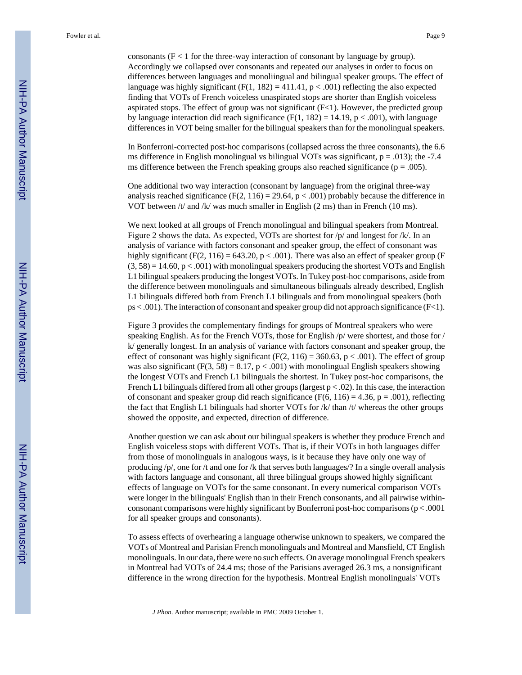consonants  $(F < 1$  for the three-way interaction of consonant by language by group). Accordingly we collapsed over consonants and repeated our analyses in order to focus on differences between languages and monoliingual and bilingual speaker groups. The effect of language was highly significant  $(F(1, 182) = 411.41$ ,  $p < .001)$  reflecting the also expected finding that VOTs of French voiceless unaspirated stops are shorter than English voiceless aspirated stops. The effect of group was not significant  $(F<1)$ . However, the predicted group by language interaction did reach significance (F(1, 182) = 14.19,  $p < .001$ ), with language differences in VOT being smaller for the bilingual speakers than for the monolingual speakers.

In Bonferroni-corrected post-hoc comparisons (collapsed across the three consonants), the 6.6 ms difference in English monolingual vs bilingual VOTs was significant,  $p = .013$ ; the -7.4 ms difference between the French speaking groups also reached significance ( $p = .005$ ).

One additional two way interaction (consonant by language) from the original three-way analysis reached significance (F(2, 116) = 29.64,  $p < .001$ ) probably because the difference in VOT between /t/ and /k/ was much smaller in English (2 ms) than in French (10 ms).

We next looked at all groups of French monolingual and bilingual speakers from Montreal. Figure 2 shows the data. As expected, VOTs are shortest for /p/ and longest for /k/. In an analysis of variance with factors consonant and speaker group, the effect of consonant was highly significant (F(2, 116) = 643.20,  $p < .001$ ). There was also an effect of speaker group (F  $(3, 58) = 14.60$ ,  $p < .001$ ) with monolingual speakers producing the shortest VOTs and English L1 bilingual speakers producing the longest VOTs. In Tukey post-hoc comparisons, aside from the difference between monolinguals and simultaneous bilinguals already described, English L1 bilinguals differed both from French L1 bilinguals and from monolingual speakers (both ps < .001). The interaction of consonant and speaker group did not approach significance (F<1).

Figure 3 provides the complementary findings for groups of Montreal speakers who were speaking English. As for the French VOTs, those for English /p/ were shortest, and those for / k/ generally longest. In an analysis of variance with factors consonant and speaker group, the effect of consonant was highly significant (F(2, 116) = 360.63,  $p < .001$ ). The effect of group was also significant  $(F(3, 58) = 8.17, p < .001)$  with monolingual English speakers showing the longest VOTs and French L1 bilinguals the shortest. In Tukey post-hoc comparisons, the French L1 bilinguals differed from all other groups (largest  $p < .02$ ). In this case, the interaction of consonant and speaker group did reach significance (F(6, 116) = 4.36, p = .001), reflecting the fact that English L1 bilinguals had shorter VOTs for /k/ than /t/ whereas the other groups showed the opposite, and expected, direction of difference.

Another question we can ask about our bilingual speakers is whether they produce French and English voiceless stops with different VOTs. That is, if their VOTs in both languages differ from those of monolinguals in analogous ways, is it because they have only one way of producing /p/, one for /t and one for /k that serves both languages/? In a single overall analysis with factors language and consonant, all three bilingual groups showed highly significant effects of language on VOTs for the same consonant. In every numerical comparison VOTs were longer in the bilinguals' English than in their French consonants, and all pairwise withinconsonant comparisons were highly significant by Bonferroni post-hoc comparisons ( $p < .0001$ ) for all speaker groups and consonants).

To assess effects of overhearing a language otherwise unknown to speakers, we compared the VOTs of Montreal and Parisian French monolinguals and Montreal and Mansfield, CT English monolinguals. In our data, there were no such effects. On average monolingual French speakers in Montreal had VOTs of 24.4 ms; those of the Parisians averaged 26.3 ms, a nonsignificant difference in the wrong direction for the hypothesis. Montreal English monolinguals' VOTs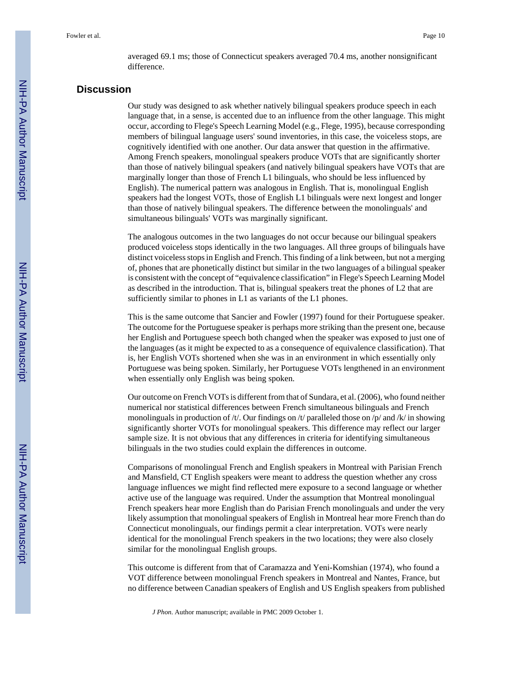averaged 69.1 ms; those of Connecticut speakers averaged 70.4 ms, another nonsignificant difference.

# **Discussion**

Our study was designed to ask whether natively bilingual speakers produce speech in each language that, in a sense, is accented due to an influence from the other language. This might occur, according to Flege's Speech Learning Model (e.g., Flege, 1995), because corresponding members of bilingual language users' sound inventories, in this case, the voiceless stops, are cognitively identified with one another. Our data answer that question in the affirmative. Among French speakers, monolingual speakers produce VOTs that are significantly shorter than those of natively bilingual speakers (and natively bilingual speakers have VOTs that are marginally longer than those of French L1 bilinguals, who should be less influenced by English). The numerical pattern was analogous in English. That is, monolingual English speakers had the longest VOTs, those of English L1 bilinguals were next longest and longer than those of natively bilingual speakers. The difference between the monolinguals' and simultaneous bilinguals' VOTs was marginally significant.

The analogous outcomes in the two languages do not occur because our bilingual speakers produced voiceless stops identically in the two languages. All three groups of bilinguals have distinct voiceless stops in English and French. This finding of a link between, but not a merging of, phones that are phonetically distinct but similar in the two languages of a bilingual speaker is consistent with the concept of "equivalence classification" in Flege's Speech Learning Model as described in the introduction. That is, bilingual speakers treat the phones of L2 that are sufficiently similar to phones in L1 as variants of the L1 phones.

This is the same outcome that Sancier and Fowler (1997) found for their Portuguese speaker. The outcome for the Portuguese speaker is perhaps more striking than the present one, because her English and Portuguese speech both changed when the speaker was exposed to just one of the languages (as it might be expected to as a consequence of equivalence classification). That is, her English VOTs shortened when she was in an environment in which essentially only Portuguese was being spoken. Similarly, her Portuguese VOTs lengthened in an environment when essentially only English was being spoken.

Our outcome on French VOTs is different from that of Sundara, et al. (2006), who found neither numerical nor statistical differences between French simultaneous bilinguals and French monolinguals in production of /t/. Our findings on /t/ paralleled those on /p/ and /k/ in showing significantly shorter VOTs for monolingual speakers. This difference may reflect our larger sample size. It is not obvious that any differences in criteria for identifying simultaneous bilinguals in the two studies could explain the differences in outcome.

Comparisons of monolingual French and English speakers in Montreal with Parisian French and Mansfield, CT English speakers were meant to address the question whether any cross language influences we might find reflected mere exposure to a second language or whether active use of the language was required. Under the assumption that Montreal monolingual French speakers hear more English than do Parisian French monolinguals and under the very likely assumption that monolingual speakers of English in Montreal hear more French than do Connecticut monolinguals, our findings permit a clear interpretation. VOTs were nearly identical for the monolingual French speakers in the two locations; they were also closely similar for the monolingual English groups.

This outcome is different from that of Caramazza and Yeni-Komshian (1974), who found a VOT difference between monolingual French speakers in Montreal and Nantes, France, but no difference between Canadian speakers of English and US English speakers from published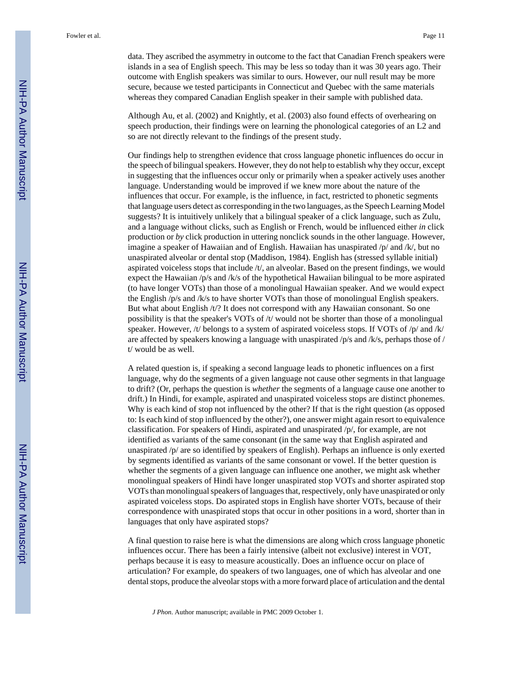data. They ascribed the asymmetry in outcome to the fact that Canadian French speakers were islands in a sea of English speech. This may be less so today than it was 30 years ago. Their outcome with English speakers was similar to ours. However, our null result may be more secure, because we tested participants in Connecticut and Quebec with the same materials whereas they compared Canadian English speaker in their sample with published data.

Although Au, et al. (2002) and Knightly, et al. (2003) also found effects of overhearing on speech production, their findings were on learning the phonological categories of an L2 and so are not directly relevant to the findings of the present study.

Our findings help to strengthen evidence that cross language phonetic influences do occur in the speech of bilingual speakers. However, they do not help to establish why they occur, except in suggesting that the influences occur only or primarily when a speaker actively uses another language. Understanding would be improved if we knew more about the nature of the influences that occur. For example, is the influence, in fact, restricted to phonetic segments that language users detect as corresponding in the two languages, as the Speech Learning Model suggests? It is intuitively unlikely that a bilingual speaker of a click language, such as Zulu, and a language without clicks, such as English or French, would be influenced either *in* click production or *by* click production in uttering nonclick sounds in the other language. However, imagine a speaker of Hawaiian and of English. Hawaiian has unaspirated /p/ and /k/, but no unaspirated alveolar or dental stop (Maddison, 1984). English has (stressed syllable initial) aspirated voiceless stops that include /t/, an alveolar. Based on the present findings, we would expect the Hawaiian  $/p/s$  and  $/k/s$  of the hypothetical Hawaiian bilingual to be more aspirated (to have longer VOTs) than those of a monolingual Hawaiian speaker. And we would expect the English /p/s and /k/s to have shorter VOTs than those of monolingual English speakers. But what about English /t/? It does not correspond with any Hawaiian consonant. So one possibility is that the speaker's VOTs of /t/ would not be shorter than those of a monolingual speaker. However, /t/ belongs to a system of aspirated voiceless stops. If VOTs of /p/ and /k/ are affected by speakers knowing a language with unaspirated  $/p/s$  and  $/k/s$ , perhaps those of / t/ would be as well.

A related question is, if speaking a second language leads to phonetic influences on a first language, why do the segments of a given language not cause other segments in that language to drift? (Or, perhaps the question is *whether* the segments of a language cause one another to drift.) In Hindi, for example, aspirated and unaspirated voiceless stops are distinct phonemes. Why is each kind of stop not influenced by the other? If that is the right question (as opposed to: Is each kind of stop influenced by the other?), one answer might again resort to equivalence classification. For speakers of Hindi, aspirated and unaspirated /p/, for example, are not identified as variants of the same consonant (in the same way that English aspirated and unaspirated /p/ are so identified by speakers of English). Perhaps an influence is only exerted by segments identified as variants of the same consonant or vowel. If the better question is whether the segments of a given language can influence one another, we might ask whether monolingual speakers of Hindi have longer unaspirated stop VOTs and shorter aspirated stop VOTs than monolingual speakers of languages that, respectively, only have unaspirated or only aspirated voiceless stops. Do aspirated stops in English have shorter VOTs, because of their correspondence with unaspirated stops that occur in other positions in a word, shorter than in languages that only have aspirated stops?

A final question to raise here is what the dimensions are along which cross language phonetic influences occur. There has been a fairly intensive (albeit not exclusive) interest in VOT, perhaps because it is easy to measure acoustically. Does an influence occur on place of articulation? For example, do speakers of two languages, one of which has alveolar and one dental stops, produce the alveolar stops with a more forward place of articulation and the dental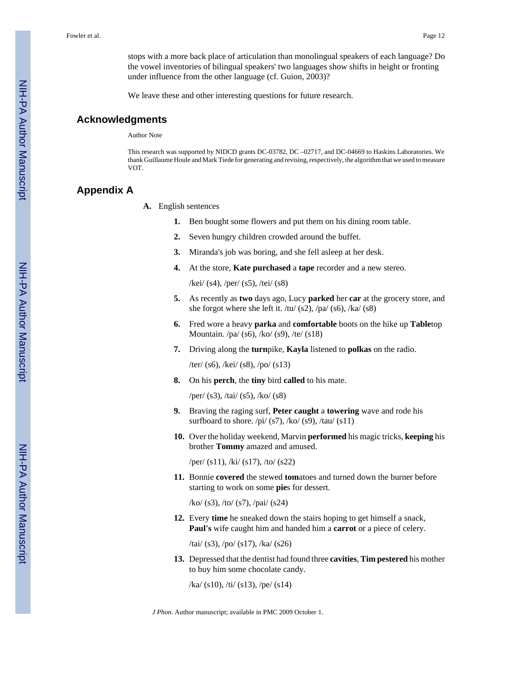stops with a more back place of articulation than monolingual speakers of each language? Do the vowel inventories of bilingual speakers' two languages show shifts in height or fronting under influence from the other language (cf. Guion, 2003)?

We leave these and other interesting questions for future research.

### **Acknowledgments**

Author Note

This research was supported by NIDCD grants DC-03782, DC –02717, and DC-04669 to Haskins Laboratories. We thank Guillaume Houle and Mark Tiede for generating and revising, respectively, the algorithm that we used to measure VOT.

# **Appendix A**

- **A.** English sentences
	- **1.** Ben bought some flowers and put them on his dining room table.
	- **2.** Seven hungry children crowded around the buffet.
	- **3.** Miranda's job was boring, and she fell asleep at her desk.
	- **4.** At the store, **Kate purchased** a **tape** recorder and a new stereo.

/kei/ (s4), /per/ (s5), /tei/ (s8)

- **5.** As recently as **two** days ago, Lucy **parked** her **car** at the grocery store, and she forgot where she left it. /tu/ (s2), /pa/ (s6), /ka/ (s8)
- **6.** Fred wore a heavy **parka** and **comfortable** boots on the hike up **Table**top Mountain. /pa/ (s6), /ko/ (s9), /te/ (s18)
- **7.** Driving along the **turn**pike, **Kayla** listened to **polkas** on the radio.

/ter/ (s6), /kei/ (s8), /po/ (s13)

**8.** On his **perch**, the **tiny** bird **called** to his mate.

/per/ (s3), /tai/ (s5), /ko/ (s8)

- **9.** Braving the raging surf, **Peter caught** a **towering** wave and rode his surfboard to shore.  $\pi$ i/ (s7), /ko/ (s9), /tau/ (s11)
- **10.** Over the holiday weekend, Marvin **performed** his magic tricks, **keeping** his brother **Tommy** amazed and amused.

/per/ (s11), /ki/ (s17), /to/ (s22)

**11.** Bonnie **covered** the stewed **tom**atoes and turned down the burner before starting to work on some **pie**s for dessert.

/ko/ (s3), /to/ (s7), /pai/ (s24)

**12.** Every **time** he sneaked down the stairs hoping to get himself a snack, **Paul's** wife caught him and handed him a **carrot** or a piece of celery.

/tai/ (s3), /po/ (s17), /ka/ (s26)

**13.** Depressed that the dentist had found three **cavities**, **Tim pestered** his mother to buy him some chocolate candy.

/ka/ (s10), /ti/ (s13), /pe/ (s14)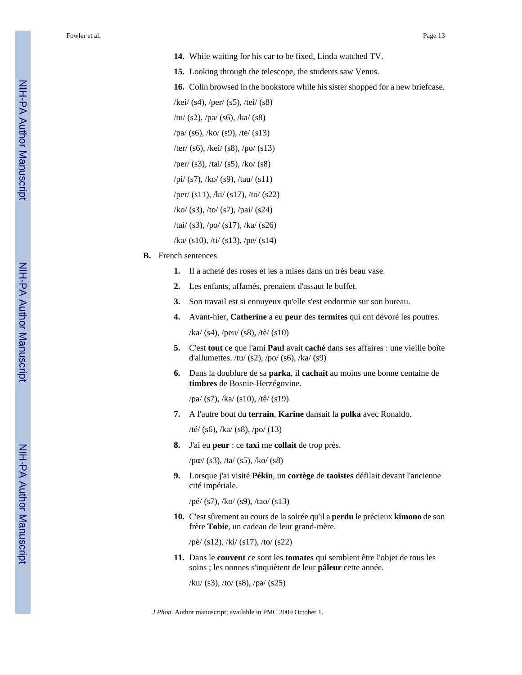- **14.** While waiting for his car to be fixed, Linda watched TV.
- **15.** Looking through the telescope, the students saw Venus.

**16.** Colin browsed in the bookstore while his sister shopped for a new briefcase.

/kei/ (s4), /per/ (s5), /tei/ (s8)

/tu/ (s2), /pa/ (s6), /ka/ (s8) /pa/ (s6), /ko/ (s9), /te/ (s13) /ter/ (s6), /kei/ (s8), /po/ (s13)

/per/ (s3), /tai/ (s5), /ko/ (s8)

/pi/ (s7), /ko/ (s9), /tau/ (s11)

/per/ (s11), /ki/ (s17), /to/ (s22)

/ko/ (s3), /to/ (s7), /pai/ (s24)

/tai/ (s3), /po/ (s17), /ka/ (s26)

 $/ka/(s10)$ ,  $\frac{\text{tr}}{\text{s}}(s13)$ ,  $\frac{\text{pe}}{\text{s}}(s14)$ 

- **B.** French sentences
	- **1.** Il a acheté des roses et les a mises dans un très beau vase.
	- **2.** Les enfants, affamés, prenaient d'assaut le buffet.
	- **3.** Son travail est si ennuyeux qu'elle s'est endormie sur son bureau.
	- **4.** Avant-hier, **Catherine** a eu **peur** des **termites** qui ont dévoré les poutres.

/ka/ (s4), /peu/ (s8), /tè/ (s10)

- **5.** C'est **tout** ce que l'ami **Paul** avait **caché** dans ses affaires : une vieille boîte d'allumettes. /tu/  $(s2)$ , /po/  $(s6)$ , /ka/  $(s9)$
- **6.** Dans la doublure de sa **parka**, il **cachait** au moins une bonne centaine de **timbres** de Bosnie-Herzégovine.

/pa/ (s7), /ka/ (s10), /tê/ (s19)

**7.** A l'autre bout du **terrain**, **Karine** dansait la **polka** avec Ronaldo.

/té/ (s6), /ka/ (s8), /po/ (13)

**8.** J'ai eu **peur** : ce **taxi** me **collait** de trop près.

/pœ/ (s3), /ta/ (s5), /ko/ (s8)

**9.** Lorsque j'ai visité **Pékin**, un **cortège** de **taoïstes** défilait devant l'ancienne cité impériale.

/pé/ (s7), /ko/ (s9), /tao/ (s13)

**10.** C'est sûrement au cours de la soirée qu'il a **perdu** le précieux **kimono** de son frère **Tobie**, un cadeau de leur grand-mère.

/pè/ (s12), /ki/ (s17), /to/ (s22)

**11.** Dans le **couvent** ce sont les **tomates** qui semblent être l'objet de tous les soins ; les nonnes s'inquiètent de leur **pâleur** cette année.

/ku/ (s3), /to/ (s8), /pa/ (s25)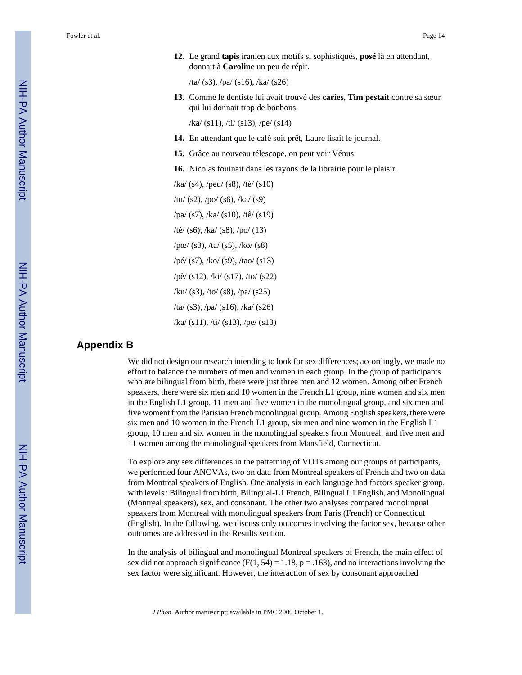**12.** Le grand **tapis** iranien aux motifs si sophistiqués, **posé** là en attendant, donnait à **Caroline** un peu de répit.

/ta/ (s3), /pa/ (s16), /ka/ (s26)

**13.** Comme le dentiste lui avait trouvé des **caries**, **Tim pestait** contre sa sœur qui lui donnait trop de bonbons.

/ka/ (s11), /ti/ (s13), /pe/ (s14)

- **14.** En attendant que le café soit prêt, Laure lisait le journal.
- **15.** Grâce au nouveau télescope, on peut voir Vénus.
- **16.** Nicolas fouinait dans les rayons de la librairie pour le plaisir.
- /ka/ (s4), /peu/ (s8), /tè/ (s10) /tu/ (s2), /po/ (s6), /ka/ (s9) /pa/ (s7), /ka/ (s10), /tê/ (s19) /té/ (s6), /ka/ (s8), /po/ (13)  $/pc/$  (s3), /ta/ (s5), /ko/ (s8) /pé/ (s7), /ko/ (s9), /tao/ (s13) /pè/ (s12), /ki/ (s17), /to/ (s22) /ku/ (s3), /to/ (s8), /pa/ (s25) /ta/ (s3), /pa/ (s16), /ka/ (s26) /ka/ (s11), /ti/ (s13), /pe/ (s13)

# **Appendix B**

We did not design our research intending to look for sex differences; accordingly, we made no effort to balance the numbers of men and women in each group. In the group of participants who are bilingual from birth, there were just three men and 12 women. Among other French speakers, there were six men and 10 women in the French L1 group, nine women and six men in the English L1 group, 11 men and five women in the monolingual group, and six men and five woment from the Parisian French monolingual group. Among English speakers, there were six men and 10 women in the French L1 group, six men and nine women in the English L1 group, 10 men and six women in the monolingual speakers from Montreal, and five men and 11 women among the monolingual speakers from Mansfield, Connecticut.

To explore any sex differences in the patterning of VOTs among our groups of participants, we performed four ANOVAs, two on data from Montreal speakers of French and two on data from Montreal speakers of English. One analysis in each language had factors speaker group, with levels : Bilingual from birth, Bilingual-L1 French, Bilingual L1 English, and Monolingual (Montreal speakers), sex, and consonant. The other two analyses compared monolingual speakers from Montreal with monolingual speakers from Paris (French) or Connecticut (English). In the following, we discuss only outcomes involving the factor sex, because other outcomes are addressed in the Results section.

In the analysis of bilingual and monolingual Montreal speakers of French, the main effect of sex did not approach significance ( $F(1, 54) = 1.18$ ,  $p = .163$ ), and no interactions involving the sex factor were significant. However, the interaction of sex by consonant approached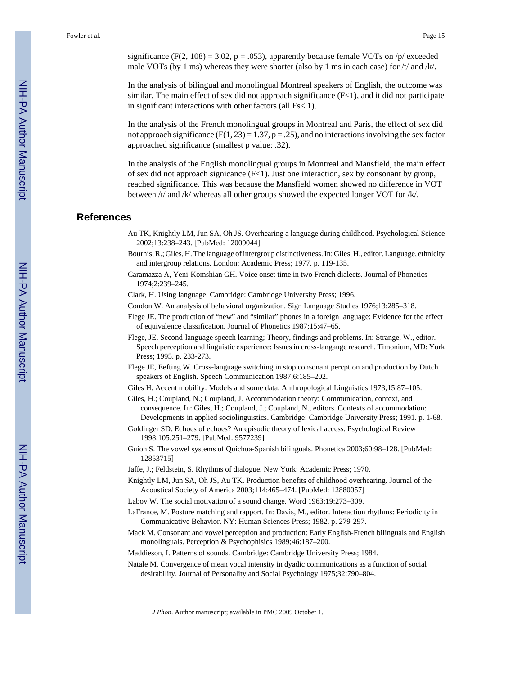significance (F(2, 108) = 3.02, p = .053), apparently because female VOTs on  $/p$  exceeded male VOTs (by 1 ms) whereas they were shorter (also by 1 ms in each case) for  $/t$  and  $/k$ .

In the analysis of bilingual and monolingual Montreal speakers of English, the outcome was similar. The main effect of sex did not approach significance  $(F<1)$ , and it did not participate in significant interactions with other factors (all Fs< 1).

In the analysis of the French monolingual groups in Montreal and Paris, the effect of sex did not approach significance ( $F(1, 23) = 1.37$ ,  $p = .25$ ), and no interactions involving the sex factor approached significance (smallest p value: .32).

In the analysis of the English monolingual groups in Montreal and Mansfield, the main effect of sex did not approach signicance  $(F<1)$ . Just one interaction, sex by consonant by group, reached significance. This was because the Mansfield women showed no difference in VOT between /t/ and /k/ whereas all other groups showed the expected longer VOT for /k/.

## **References**

- Au TK, Knightly LM, Jun SA, Oh JS. Overhearing a language during childhood. Psychological Science 2002;13:238–243. [PubMed: 12009044]
- Bourhis, R.; Giles, H. The language of intergroup distinctiveness. In: Giles, H., editor. Language, ethnicity and intergroup relations. London: Academic Press; 1977. p. 119-135.
- Caramazza A, Yeni-Komshian GH. Voice onset time in two French dialects. Journal of Phonetics 1974;2:239–245.
- Clark, H. Using language. Cambridge: Cambridge University Press; 1996.
- Condon W. An analysis of behavioral organization. Sign Language Studies 1976;13:285–318.
- Flege JE. The production of "new" and "similar" phones in a foreign language: Evidence for the effect of equivalence classification. Journal of Phonetics 1987;15:47–65.
- Flege, JE. Second-language speech learning; Theory, findings and problems. In: Strange, W., editor. Speech perception and linguistic experience: Issues in cross-langauge research. Timonium, MD: York Press; 1995. p. 233-273.
- Flege JE, Eefting W. Cross-language switching in stop consonant percption and production by Dutch speakers of English. Speech Communication 1987;6:185–202.
- Giles H. Accent mobility: Models and some data. Anthropological Linguistics 1973;15:87–105.
- Giles, H.; Coupland, N.; Coupland, J. Accommodation theory: Communication, context, and consequence. In: Giles, H.; Coupland, J.; Coupland, N., editors. Contexts of accommodation: Developments in applied sociolinguistics. Cambridge: Cambridge University Press; 1991. p. 1-68.

Goldinger SD. Echoes of echoes? An episodic theory of lexical access. Psychological Review 1998;105:251–279. [PubMed: 9577239]

- Guion S. The vowel systems of Quichua-Spanish bilinguals. Phonetica 2003;60:98–128. [PubMed: 12853715]
- Jaffe, J.; Feldstein, S. Rhythms of dialogue. New York: Academic Press; 1970.
- Knightly LM, Jun SA, Oh JS, Au TK. Production benefits of childhood overhearing. Journal of the Acoustical Society of America 2003;114:465–474. [PubMed: 12880057]
- Labov W. The social motivation of a sound change. Word 1963;19:273–309.
- LaFrance, M. Posture matching and rapport. In: Davis, M., editor. Interaction rhythms: Periodicity in Communicative Behavior. NY: Human Sciences Press; 1982. p. 279-297.
- Mack M. Consonant and vowel perception and production: Early English-French bilinguals and English monolinguals. Perception & Psychophisics 1989;46:187–200.
- Maddieson, I. Patterns of sounds. Cambridge: Cambridge University Press; 1984.
- Natale M. Convergence of mean vocal intensity in dyadic communications as a function of social desirability. Journal of Personality and Social Psychology 1975;32:790–804.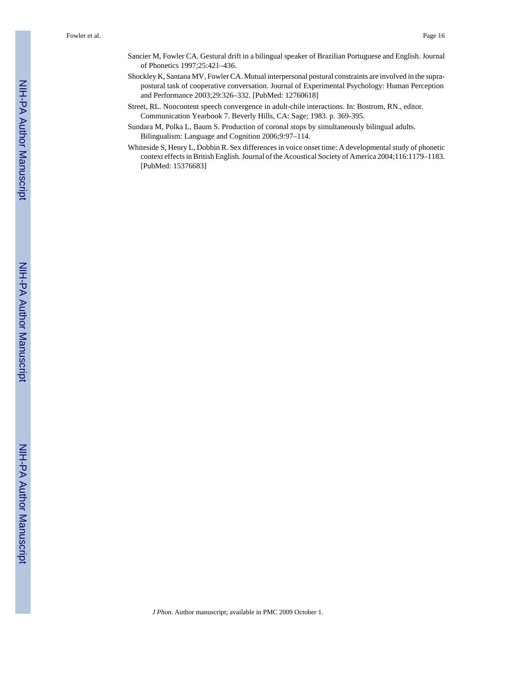- Sancier M, Fowler CA. Gestural drift in a bilingual speaker of Brazilian Portuguese and English. Journal of Phonetics 1997;25:421–436.
- Shockley K, Santana MV, Fowler CA. Mutual interpersonal postural constraints are involved in the suprapostural task of cooperative conversation. Journal of Experimental Psychology: Human Perception and Performance 2003;29:326–332. [PubMed: 12760618]
- Street, RL. Noncontent speech convergence in adult-chile interactions. In: Bostrom, RN., editor. Communication Yearbook 7. Beverly Hills, CA: Sage; 1983. p. 369-395.
- Sundara M, Polka L, Baum S. Production of coronal stops by simultaneously bilingual adults. Bilingualism: Language and Cognition 2006;9:97–114.
- Whiteside S, Henry L, Dobbin R. Sex differences in voice onset time: A developmental study of phonetic context effects in British English. Journal of the Acoustical Society of America 2004;116:1179–1183. [PubMed: 15376683]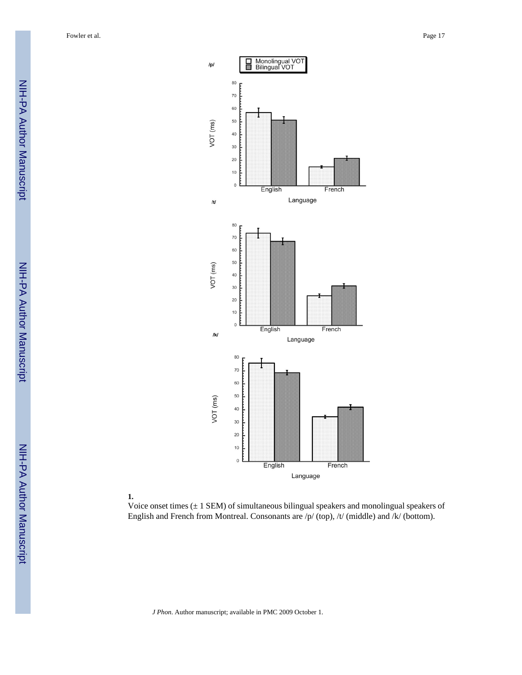NIH-PA Author Manuscript NIH-PA Author Manuscript





Voice onset times  $(\pm 1$  SEM) of simultaneous bilingual speakers and monolingual speakers of English and French from Montreal. Consonants are /p/ (top), /t/ (middle) and /k/ (bottom).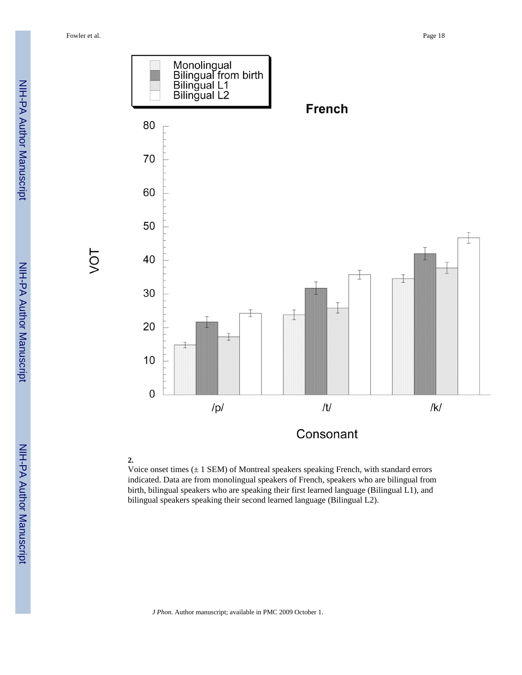

Voice onset times  $(\pm 1$  SEM) of Montreal speakers speaking French, with standard errors indicated. Data are from monolingual speakers of French, speakers who are bilingual from birth, bilingual speakers who are speaking their first learned language (Bilingual L1), and bilingual speakers speaking their second learned language (Bilingual L2).